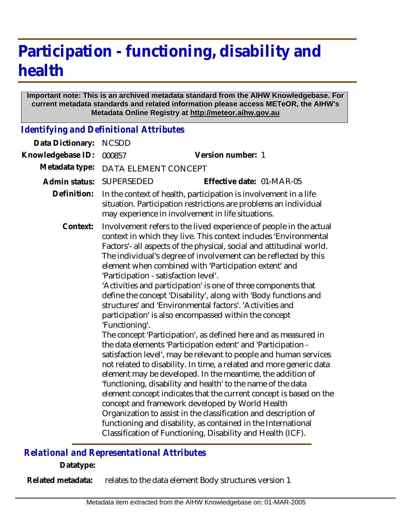## **Participation - functioning, disability and health**

## **Important note: This is an archived metadata standard from the AIHW Knowledgebase. For current metadata standards and related information please access METeOR, the AIHW's Metadata Online Registry at http://meteor.aihw.gov.au**

*Identifying and Definitional Attributes*

| Data Dictionary:  | <b>NCSDD</b>                                                                                                                                                                                                                                                                                                                                                                                                                                                                                                                                                                                                                                                                                                                                                                                                                                                                                                                                                                                                                                                                                                                                                                                                                                                                                                                               |                           |
|-------------------|--------------------------------------------------------------------------------------------------------------------------------------------------------------------------------------------------------------------------------------------------------------------------------------------------------------------------------------------------------------------------------------------------------------------------------------------------------------------------------------------------------------------------------------------------------------------------------------------------------------------------------------------------------------------------------------------------------------------------------------------------------------------------------------------------------------------------------------------------------------------------------------------------------------------------------------------------------------------------------------------------------------------------------------------------------------------------------------------------------------------------------------------------------------------------------------------------------------------------------------------------------------------------------------------------------------------------------------------|---------------------------|
| Knowledgebase ID: | 000857                                                                                                                                                                                                                                                                                                                                                                                                                                                                                                                                                                                                                                                                                                                                                                                                                                                                                                                                                                                                                                                                                                                                                                                                                                                                                                                                     | Version number: 1         |
| Metadata type:    | DATA ELEMENT CONCEPT                                                                                                                                                                                                                                                                                                                                                                                                                                                                                                                                                                                                                                                                                                                                                                                                                                                                                                                                                                                                                                                                                                                                                                                                                                                                                                                       |                           |
| Admin status:     | <b>SUPERSEDED</b>                                                                                                                                                                                                                                                                                                                                                                                                                                                                                                                                                                                                                                                                                                                                                                                                                                                                                                                                                                                                                                                                                                                                                                                                                                                                                                                          | Effective date: 01-MAR-05 |
| Definition:       | In the context of health, participation is involvement in a life<br>situation. Participation restrictions are problems an individual<br>may experience in involvement in life situations.                                                                                                                                                                                                                                                                                                                                                                                                                                                                                                                                                                                                                                                                                                                                                                                                                                                                                                                                                                                                                                                                                                                                                  |                           |
| Context:          | Involvement refers to the lived experience of people in the actual<br>context in which they live. This context includes 'Environmental<br>Factors'- all aspects of the physical, social and attitudinal world.<br>The individual's degree of involvement can be reflected by this<br>element when combined with 'Participation extent' and<br>'Participation - satisfaction level'.<br>'Activities and participation' is one of three components that<br>define the concept 'Disability', along with 'Body functions and<br>structures' and 'Environmental factors'. 'Activities and<br>participation' is also encompassed within the concept<br>'Functioning'.<br>The concept 'Participation', as defined here and as measured in<br>the data elements 'Participation extent' and 'Participation -<br>satisfaction level', may be relevant to people and human services<br>not related to disability. In time, a related and more generic data<br>element may be developed. In the meantime, the addition of<br>'functioning, disability and health' to the name of the data<br>element concept indicates that the current concept is based on the<br>concept and framework developed by World Health<br>Organization to assist in the classification and description of<br>functioning and disability, as contained in the International |                           |

## *Relational and Representational Attributes*

**Datatype:**

relates to the data element Body structures version 1 **Related metadata:**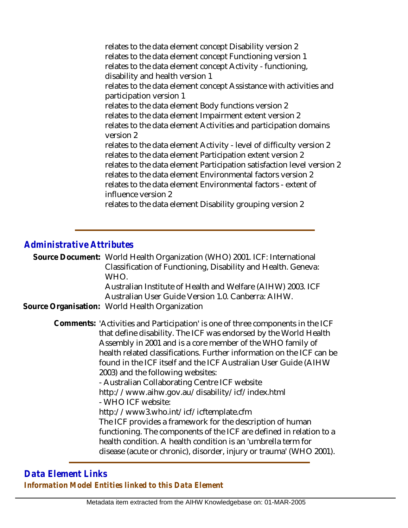relates to the data element concept Disability version 2 relates to the data element concept Functioning version 1 relates to the data element concept Activity - functioning, disability and health version 1 relates to the data element concept Assistance with activities and participation version 1 relates to the data element Body functions version 2 relates to the data element Impairment extent version 2 relates to the data element Activities and participation domains version 2 relates to the data element Activity - level of difficulty version 2 relates to the data element Participation extent version 2 relates to the data element Participation satisfaction level version 2 relates to the data element Environmental factors version 2 relates to the data element Environmental factors - extent of influence version 2 relates to the data element Disability grouping version 2

## *Administrative Attributes*

Source Document: World Health Organization (WHO) 2001. ICF: International Classification of Functioning, Disability and Health. Geneva: WHO. Australian Institute of Health and Welfare (AIHW) 2003. ICF Australian User Guide Version 1.0. Canberra: AIHW.

**Source Organisation:** World Health Organization

Comments: 'Activities and Participation' is one of three components in the ICF that define disability. The ICF was endorsed by the World Health Assembly in 2001 and is a core member of the WHO family of health related classifications. Further information on the ICF can be found in the ICF itself and the ICF Australian User Guide (AIHW 2003) and the following websites:

- Australian Collaborating Centre ICF website http://www.aihw.gov.au/disability/icf/index.html - WHO ICF website: http://www3.who.int/icf/icftemplate.cfm

The ICF provides a framework for the description of human functioning. The components of the ICF are defined in relation to a health condition. A health condition is an 'umbrella term for disease (acute or chronic), disorder, injury or trauma' (WHO 2001).

*Data Element Links Information Model Entities linked to this Data Element*